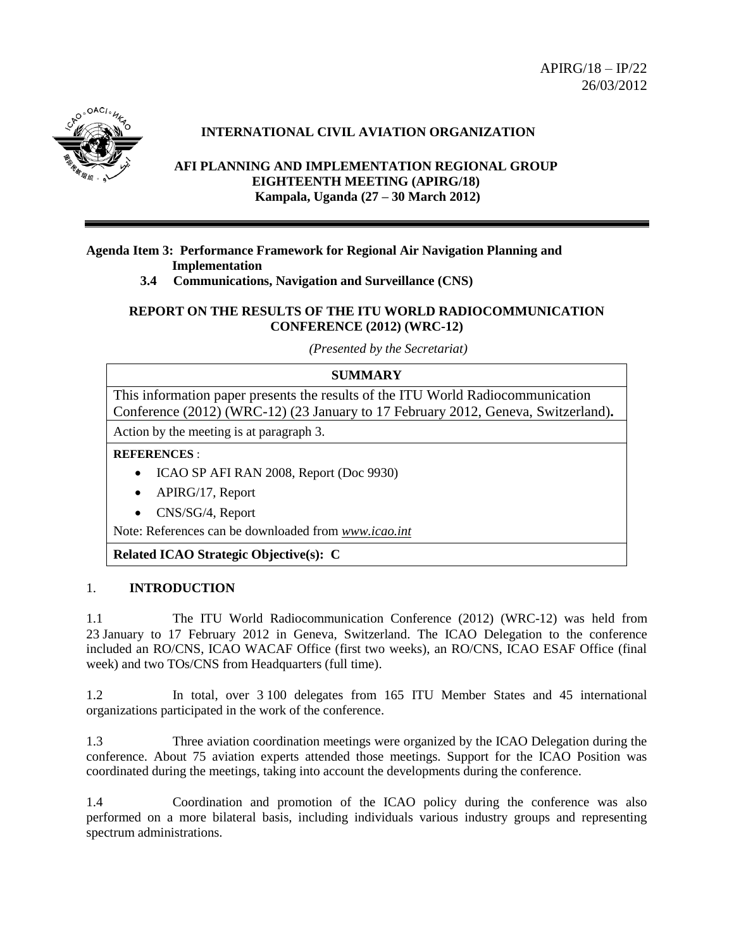$APIRG/18 - IP/22$ 26/03/2012



# **INTERNATIONAL CIVIL AVIATION ORGANIZATION**

## **AFI PLANNING AND IMPLEMENTATION REGIONAL GROUP EIGHTEENTH MEETING (APIRG/18) Kampala, Uganda (27 – 30 March 2012)**

#### **Agenda Item 3: Performance Framework for Regional Air Navigation Planning and Implementation**

## **3.4 Communications, Navigation and Surveillance (CNS)**

#### **REPORT ON THE RESULTS OF THE ITU WORLD RADIOCOMMUNICATION CONFERENCE (2012) (WRC-12)**

*(Presented by the Secretariat)*

## **SUMMARY**

This information paper presents the results of the ITU World Radiocommunication Conference (2012) (WRC-12) (23 January to 17 February 2012, Geneva, Switzerland)**.**

Action by the meeting is at paragraph 3.

**REFERENCES** :

- ICAO SP AFI RAN 2008, Report (Doc 9930)
- APIRG/17, Report
- CNS/SG/4, Report

Note: References can be downloaded from *[www.icao.int](http://www.icao.int/)*

**Related ICAO Strategic Objective(s): C**

#### 1. **INTRODUCTION**

1.1 The ITU World Radiocommunication Conference (2012) (WRC-12) was held from 23 January to 17 February 2012 in Geneva, Switzerland. The ICAO Delegation to the conference included an RO/CNS, ICAO WACAF Office (first two weeks), an RO/CNS, ICAO ESAF Office (final week) and two TOs/CNS from Headquarters (full time).

1.2 In total, over 3 100 delegates from 165 ITU Member States and 45 international organizations participated in the work of the conference.

1.3 Three aviation coordination meetings were organized by the ICAO Delegation during the conference. About 75 aviation experts attended those meetings. Support for the ICAO Position was coordinated during the meetings, taking into account the developments during the conference.

1.4 Coordination and promotion of the ICAO policy during the conference was also performed on a more bilateral basis, including individuals various industry groups and representing spectrum administrations.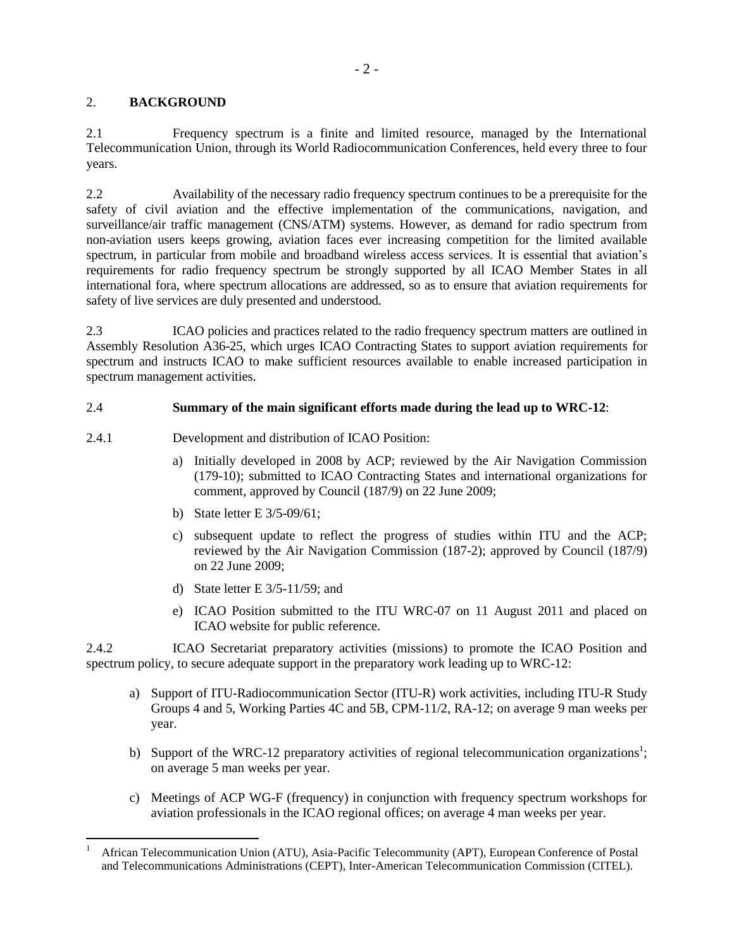#### 2. **BACKGROUND**

 $\overline{a}$ 

2.1 Frequency spectrum is a finite and limited resource, managed by the International Telecommunication Union, through its World Radiocommunication Conferences, held every three to four years.

2.2 Availability of the necessary radio frequency spectrum continues to be a prerequisite for the safety of civil aviation and the effective implementation of the communications, navigation, and surveillance/air traffic management (CNS/ATM) systems. However, as demand for radio spectrum from non-aviation users keeps growing, aviation faces ever increasing competition for the limited available spectrum, in particular from mobile and broadband wireless access services. It is essential that aviation's requirements for radio frequency spectrum be strongly supported by all ICAO Member States in all international fora, where spectrum allocations are addressed, so as to ensure that aviation requirements for safety of live services are duly presented and understood.

2.3 ICAO policies and practices related to the radio frequency spectrum matters are outlined in Assembly Resolution A36-25, which urges ICAO Contracting States to support aviation requirements for spectrum and instructs ICAO to make sufficient resources available to enable increased participation in spectrum management activities.

#### 2.4 **Summary of the main significant efforts made during the lead up to WRC-12**:

- 2.4.1 Development and distribution of ICAO Position:
	- a) Initially developed in 2008 by ACP; reviewed by the Air Navigation Commission (179-10); submitted to ICAO Contracting States and international organizations for comment, approved by Council (187/9) on 22 June 2009;
	- b) State letter E 3/5-09/61;
	- c) subsequent update to reflect the progress of studies within ITU and the ACP; reviewed by the Air Navigation Commission (187-2); approved by Council (187/9) on 22 June 2009;
	- d) State letter E 3/5-11/59; and
	- e) ICAO Position submitted to the ITU WRC-07 on 11 August 2011 and placed on ICAO website for public reference.

2.4.2 ICAO Secretariat preparatory activities (missions) to promote the ICAO Position and spectrum policy, to secure adequate support in the preparatory work leading up to WRC-12:

- a) Support of ITU-Radiocommunication Sector (ITU-R) work activities, including ITU-R Study Groups 4 and 5, Working Parties 4C and 5B, CPM-11/2, RA-12; on average 9 man weeks per year.
- b) Support of the WRC-12 preparatory activities of regional telecommunication organizations<sup>1</sup>; on average 5 man weeks per year.
- c) Meetings of ACP WG-F (frequency) in conjunction with frequency spectrum workshops for aviation professionals in the ICAO regional offices; on average 4 man weeks per year.

<sup>1</sup> African Telecommunication Union (ATU), Asia-Pacific Telecommunity (APT), European Conference of Postal and Telecommunications Administrations (CEPT), Inter-American Telecommunication Commission (CITEL).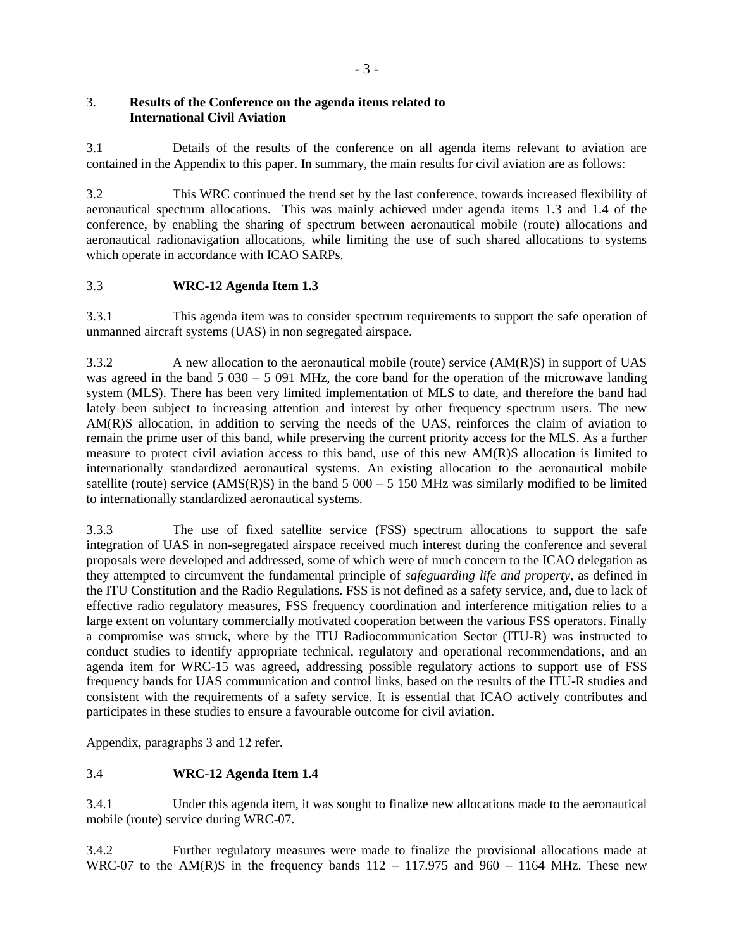#### 3. **Results of the Conference on the agenda items related to International Civil Aviation**

3.1 Details of the results of the conference on all agenda items relevant to aviation are contained in the Appendix to this paper. In summary, the main results for civil aviation are as follows:

3.2 This WRC continued the trend set by the last conference, towards increased flexibility of aeronautical spectrum allocations. This was mainly achieved under agenda items 1.3 and 1.4 of the conference, by enabling the sharing of spectrum between aeronautical mobile (route) allocations and aeronautical radionavigation allocations, while limiting the use of such shared allocations to systems which operate in accordance with ICAO SARPs.

## 3.3 **WRC-12 Agenda Item 1.3**

3.3.1 This agenda item was to consider spectrum requirements to support the safe operation of unmanned aircraft systems (UAS) in non segregated airspace.

3.3.2 A new allocation to the aeronautical mobile (route) service (AM(R)S) in support of UAS was agreed in the band 5 030 – 5 091 MHz, the core band for the operation of the microwave landing system (MLS). There has been very limited implementation of MLS to date, and therefore the band had lately been subject to increasing attention and interest by other frequency spectrum users. The new AM(R)S allocation, in addition to serving the needs of the UAS, reinforces the claim of aviation to remain the prime user of this band, while preserving the current priority access for the MLS. As a further measure to protect civil aviation access to this band, use of this new AM(R)S allocation is limited to internationally standardized aeronautical systems. An existing allocation to the aeronautical mobile satellite (route) service (AMS(R)S) in the band  $5000 - 5150$  MHz was similarly modified to be limited to internationally standardized aeronautical systems.

3.3.3 The use of fixed satellite service (FSS) spectrum allocations to support the safe integration of UAS in non-segregated airspace received much interest during the conference and several proposals were developed and addressed, some of which were of much concern to the ICAO delegation as they attempted to circumvent the fundamental principle of *safeguarding life and property*, as defined in the ITU Constitution and the Radio Regulations. FSS is not defined as a safety service, and, due to lack of effective radio regulatory measures, FSS frequency coordination and interference mitigation relies to a large extent on voluntary commercially motivated cooperation between the various FSS operators. Finally a compromise was struck, where by the ITU Radiocommunication Sector (ITU-R) was instructed to conduct studies to identify appropriate technical, regulatory and operational recommendations, and an agenda item for WRC-15 was agreed, addressing possible regulatory actions to support use of FSS frequency bands for UAS communication and control links, based on the results of the ITU-R studies and consistent with the requirements of a safety service. It is essential that ICAO actively contributes and participates in these studies to ensure a favourable outcome for civil aviation.

Appendix, paragraphs 3 and 12 refer.

## 3.4 **WRC-12 Agenda Item 1.4**

3.4.1 Under this agenda item, it was sought to finalize new allocations made to the aeronautical mobile (route) service during WRC-07.

3.4.2 Further regulatory measures were made to finalize the provisional allocations made at WRC-07 to the AM(R)S in the frequency bands  $112 - 117.975$  and  $960 - 1164$  MHz. These new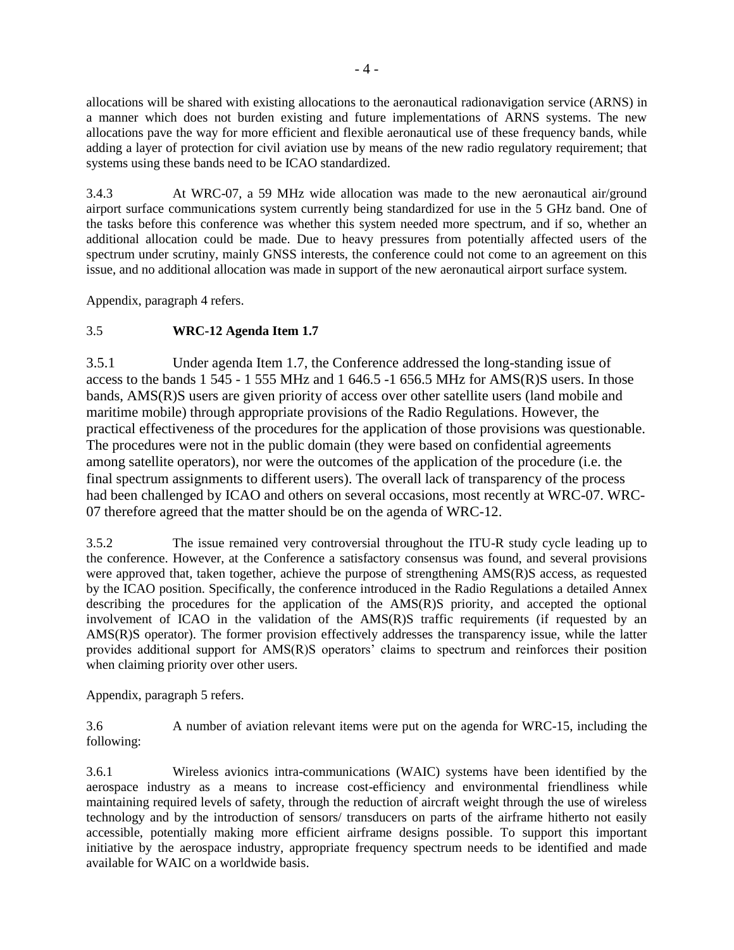allocations will be shared with existing allocations to the aeronautical radionavigation service (ARNS) in a manner which does not burden existing and future implementations of ARNS systems. The new allocations pave the way for more efficient and flexible aeronautical use of these frequency bands, while adding a layer of protection for civil aviation use by means of the new radio regulatory requirement; that systems using these bands need to be ICAO standardized.

3.4.3 At WRC-07, a 59 MHz wide allocation was made to the new aeronautical air/ground airport surface communications system currently being standardized for use in the 5 GHz band. One of the tasks before this conference was whether this system needed more spectrum, and if so, whether an additional allocation could be made. Due to heavy pressures from potentially affected users of the spectrum under scrutiny, mainly GNSS interests, the conference could not come to an agreement on this issue, and no additional allocation was made in support of the new aeronautical airport surface system.

Appendix, paragraph 4 refers.

## 3.5 **WRC-12 Agenda Item 1.7**

3.5.1 Under agenda Item 1.7, the Conference addressed the long-standing issue of access to the bands 1 545 - 1 555 MHz and 1 646.5 -1 656.5 MHz for AMS(R)S users. In those bands, AMS(R)S users are given priority of access over other satellite users (land mobile and maritime mobile) through appropriate provisions of the Radio Regulations. However, the practical effectiveness of the procedures for the application of those provisions was questionable. The procedures were not in the public domain (they were based on confidential agreements among satellite operators), nor were the outcomes of the application of the procedure (i.e. the final spectrum assignments to different users). The overall lack of transparency of the process had been challenged by ICAO and others on several occasions, most recently at WRC-07. WRC-07 therefore agreed that the matter should be on the agenda of WRC-12.

3.5.2 The issue remained very controversial throughout the ITU-R study cycle leading up to the conference. However, at the Conference a satisfactory consensus was found, and several provisions were approved that, taken together, achieve the purpose of strengthening AMS(R)S access, as requested by the ICAO position. Specifically, the conference introduced in the Radio Regulations a detailed Annex describing the procedures for the application of the AMS(R)S priority, and accepted the optional involvement of ICAO in the validation of the AMS(R)S traffic requirements (if requested by an AMS(R)S operator). The former provision effectively addresses the transparency issue, while the latter provides additional support for AMS(R)S operators' claims to spectrum and reinforces their position when claiming priority over other users.

Appendix, paragraph 5 refers.

3.6 A number of aviation relevant items were put on the agenda for WRC-15, including the following:

3.6.1 Wireless avionics intra-communications (WAIC) systems have been identified by the aerospace industry as a means to increase cost-efficiency and environmental friendliness while maintaining required levels of safety, through the reduction of aircraft weight through the use of wireless technology and by the introduction of sensors/ transducers on parts of the airframe hitherto not easily accessible, potentially making more efficient airframe designs possible. To support this important initiative by the aerospace industry, appropriate frequency spectrum needs to be identified and made available for WAIC on a worldwide basis.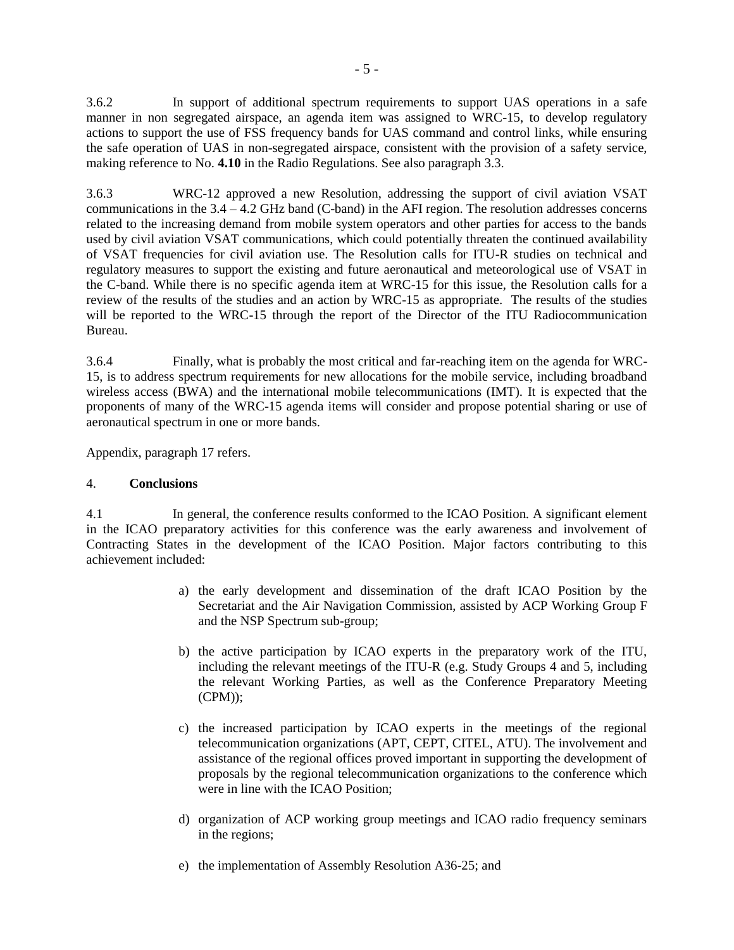3.6.2 In support of additional spectrum requirements to support UAS operations in a safe manner in non segregated airspace, an agenda item was assigned to WRC-15, to develop regulatory actions to support the use of FSS frequency bands for UAS command and control links, while ensuring the safe operation of UAS in non-segregated airspace, consistent with the provision of a safety service, making reference to No. **4.10** in the Radio Regulations. See also paragraph 3.3.

3.6.3 WRC-12 approved a new Resolution, addressing the support of civil aviation VSAT communications in the 3.4 – 4.2 GHz band (C-band) in the AFI region. The resolution addresses concerns related to the increasing demand from mobile system operators and other parties for access to the bands used by civil aviation VSAT communications, which could potentially threaten the continued availability of VSAT frequencies for civil aviation use. The Resolution calls for ITU-R studies on technical and regulatory measures to support the existing and future aeronautical and meteorological use of VSAT in the C-band. While there is no specific agenda item at WRC-15 for this issue, the Resolution calls for a review of the results of the studies and an action by WRC-15 as appropriate. The results of the studies will be reported to the WRC-15 through the report of the Director of the ITU Radiocommunication Bureau.

3.6.4 Finally, what is probably the most critical and far-reaching item on the agenda for WRC-15, is to address spectrum requirements for new allocations for the mobile service, including broadband wireless access (BWA) and the international mobile telecommunications (IMT). It is expected that the proponents of many of the WRC-15 agenda items will consider and propose potential sharing or use of aeronautical spectrum in one or more bands.

Appendix, paragraph 17 refers.

#### 4. **Conclusions**

4.1 In general, the conference results conformed to the ICAO Position. A significant element in the ICAO preparatory activities for this conference was the early awareness and involvement of Contracting States in the development of the ICAO Position. Major factors contributing to this achievement included:

- a) the early development and dissemination of the draft ICAO Position by the Secretariat and the Air Navigation Commission, assisted by ACP Working Group F and the NSP Spectrum sub-group;
- b) the active participation by ICAO experts in the preparatory work of the ITU, including the relevant meetings of the ITU-R (e.g. Study Groups 4 and 5, including the relevant Working Parties, as well as the Conference Preparatory Meeting (CPM));
- c) the increased participation by ICAO experts in the meetings of the regional telecommunication organizations (APT, CEPT, CITEL, ATU). The involvement and assistance of the regional offices proved important in supporting the development of proposals by the regional telecommunication organizations to the conference which were in line with the ICAO Position:
- d) organization of ACP working group meetings and ICAO radio frequency seminars in the regions;
- e) the implementation of Assembly Resolution A36-25; and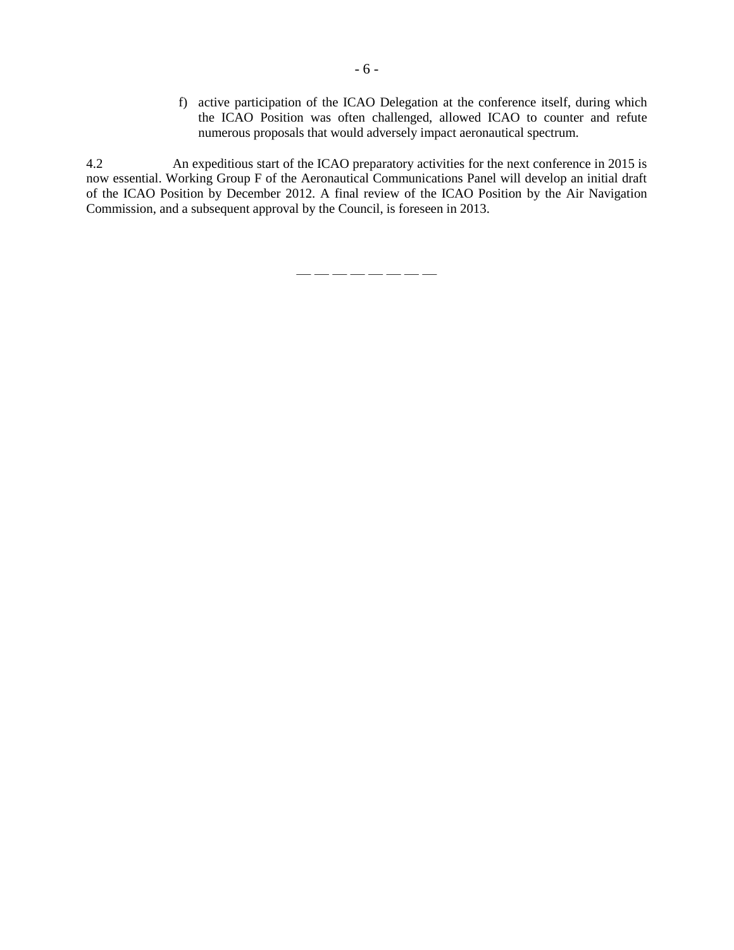f) active participation of the ICAO Delegation at the conference itself, during which the ICAO Position was often challenged, allowed ICAO to counter and refute numerous proposals that would adversely impact aeronautical spectrum.

4.2 An expeditious start of the ICAO preparatory activities for the next conference in 2015 is now essential. Working Group F of the Aeronautical Communications Panel will develop an initial draft of the ICAO Position by December 2012. A final review of the ICAO Position by the Air Navigation Commission, and a subsequent approval by the Council, is foreseen in 2013.

— — — — — — — —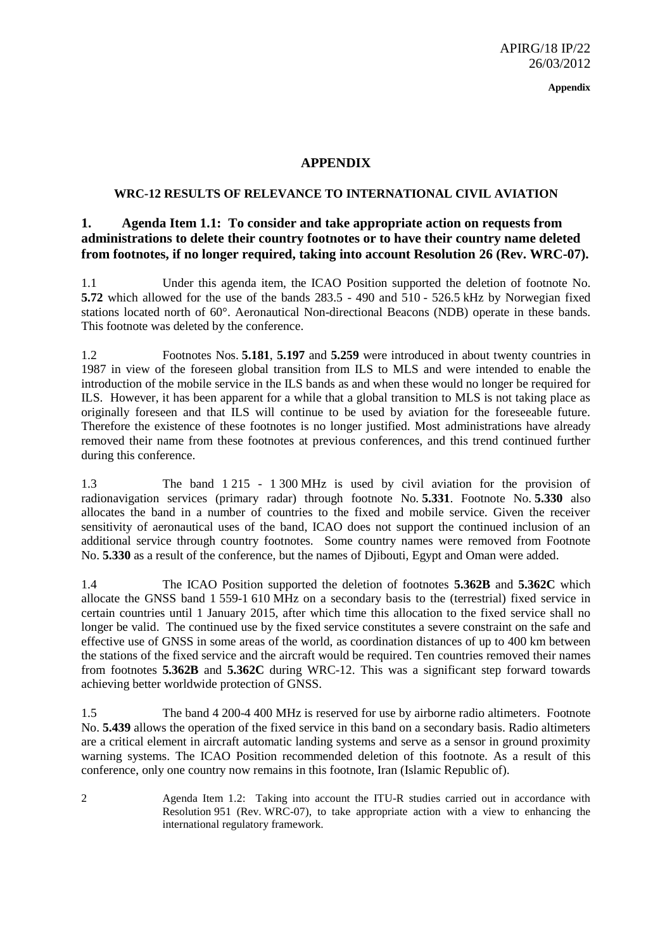**Appendix**

## **APPENDIX**

#### **WRC-12 RESULTS OF RELEVANCE TO INTERNATIONAL CIVIL AVIATION**

## **1. Agenda Item 1.1: To consider and take appropriate action on requests from administrations to delete their country footnotes or to have their country name deleted from footnotes, if no longer required, taking into account Resolution 26 (Rev. WRC-07).**

1.1 Under this agenda item, the ICAO Position supported the deletion of footnote No. **5.72** which allowed for the use of the bands 283.5 - 490 and 510 - 526.5 kHz by Norwegian fixed stations located north of 60°. Aeronautical Non-directional Beacons (NDB) operate in these bands. This footnote was deleted by the conference.

1.2 Footnotes Nos. **5.181**, **5.197** and **5.259** were introduced in about twenty countries in 1987 in view of the foreseen global transition from ILS to MLS and were intended to enable the introduction of the mobile service in the ILS bands as and when these would no longer be required for ILS. However, it has been apparent for a while that a global transition to MLS is not taking place as originally foreseen and that ILS will continue to be used by aviation for the foreseeable future. Therefore the existence of these footnotes is no longer justified. Most administrations have already removed their name from these footnotes at previous conferences, and this trend continued further during this conference.

1.3 The band 1 215 - 1 300 MHz is used by civil aviation for the provision of radionavigation services (primary radar) through footnote No. **5.331**. Footnote No. **5.330** also allocates the band in a number of countries to the fixed and mobile service. Given the receiver sensitivity of aeronautical uses of the band, ICAO does not support the continued inclusion of an additional service through country footnotes. Some country names were removed from Footnote No. **5.330** as a result of the conference, but the names of Djibouti, Egypt and Oman were added.

1.4 The ICAO Position supported the deletion of footnotes **5.362B** and **5.362C** which allocate the GNSS band 1 559-1 610 MHz on a secondary basis to the (terrestrial) fixed service in certain countries until 1 January 2015, after which time this allocation to the fixed service shall no longer be valid. The continued use by the fixed service constitutes a severe constraint on the safe and effective use of GNSS in some areas of the world, as coordination distances of up to 400 km between the stations of the fixed service and the aircraft would be required. Ten countries removed their names from footnotes **5.362B** and **5.362C** during WRC-12. This was a significant step forward towards achieving better worldwide protection of GNSS.

1.5 The band 4 200-4 400 MHz is reserved for use by airborne radio altimeters. Footnote No. **5.439** allows the operation of the fixed service in this band on a secondary basis. Radio altimeters are a critical element in aircraft automatic landing systems and serve as a sensor in ground proximity warning systems. The ICAO Position recommended deletion of this footnote. As a result of this conference, only one country now remains in this footnote, Iran (Islamic Republic of).

2 Agenda Item 1.2: Taking into account the ITU-R studies carried out in accordance with Resolution 951 (Rev. WRC-07), to take appropriate action with a view to enhancing the international regulatory framework.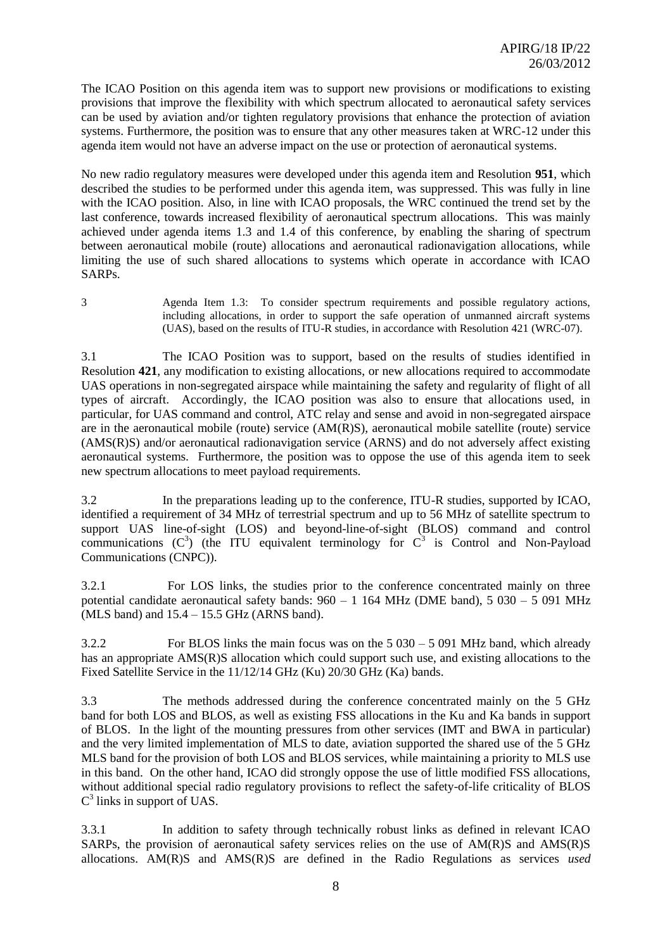The ICAO Position on this agenda item was to support new provisions or modifications to existing provisions that improve the flexibility with which spectrum allocated to aeronautical safety services can be used by aviation and/or tighten regulatory provisions that enhance the protection of aviation systems. Furthermore, the position was to ensure that any other measures taken at WRC-12 under this agenda item would not have an adverse impact on the use or protection of aeronautical systems.

No new radio regulatory measures were developed under this agenda item and Resolution **951**, which described the studies to be performed under this agenda item, was suppressed. This was fully in line with the ICAO position. Also, in line with ICAO proposals, the WRC continued the trend set by the last conference, towards increased flexibility of aeronautical spectrum allocations. This was mainly achieved under agenda items 1.3 and 1.4 of this conference, by enabling the sharing of spectrum between aeronautical mobile (route) allocations and aeronautical radionavigation allocations, while limiting the use of such shared allocations to systems which operate in accordance with ICAO SARPs.

3 Agenda Item 1.3: To consider spectrum requirements and possible regulatory actions, including allocations, in order to support the safe operation of unmanned aircraft systems (UAS), based on the results of ITU-R studies, in accordance with Resolution 421 (WRC-07).

3.1 The ICAO Position was to support, based on the results of studies identified in Resolution **421**, any modification to existing allocations, or new allocations required to accommodate UAS operations in non-segregated airspace while maintaining the safety and regularity of flight of all types of aircraft. Accordingly, the ICAO position was also to ensure that allocations used, in particular, for UAS command and control, ATC relay and sense and avoid in non-segregated airspace are in the aeronautical mobile (route) service (AM(R)S), aeronautical mobile satellite (route) service (AMS(R)S) and/or aeronautical radionavigation service (ARNS) and do not adversely affect existing aeronautical systems. Furthermore, the position was to oppose the use of this agenda item to seek new spectrum allocations to meet payload requirements.

3.2 In the preparations leading up to the conference, ITU-R studies, supported by ICAO, identified a requirement of 34 MHz of terrestrial spectrum and up to 56 MHz of satellite spectrum to support UAS line-of-sight (LOS) and beyond-line-of-sight (BLOS) command and control communications  $(C^3)$  (the ITU equivalent terminology for  $C^3$  is Control and Non-Payload Communications (CNPC)).

3.2.1 For LOS links, the studies prior to the conference concentrated mainly on three potential candidate aeronautical safety bands: 960 – 1 164 MHz (DME band), 5 030 – 5 091 MHz (MLS band) and  $15.4 - 15.5$  GHz (ARNS band).

3.2.2 For BLOS links the main focus was on the 5 030 – 5 091 MHz band, which already has an appropriate AMS(R)S allocation which could support such use, and existing allocations to the Fixed Satellite Service in the 11/12/14 GHz (Ku) 20/30 GHz (Ka) bands.

3.3 The methods addressed during the conference concentrated mainly on the 5 GHz band for both LOS and BLOS, as well as existing FSS allocations in the Ku and Ka bands in support of BLOS. In the light of the mounting pressures from other services (IMT and BWA in particular) and the very limited implementation of MLS to date, aviation supported the shared use of the 5 GHz MLS band for the provision of both LOS and BLOS services, while maintaining a priority to MLS use in this band. On the other hand, ICAO did strongly oppose the use of little modified FSS allocations, without additional special radio regulatory provisions to reflect the safety-of-life criticality of BLOS C 3 links in support of UAS.

3.3.1 In addition to safety through technically robust links as defined in relevant ICAO SARPs, the provision of aeronautical safety services relies on the use of AM(R)S and AMS(R)S allocations. AM(R)S and AMS(R)S are defined in the Radio Regulations as services *used*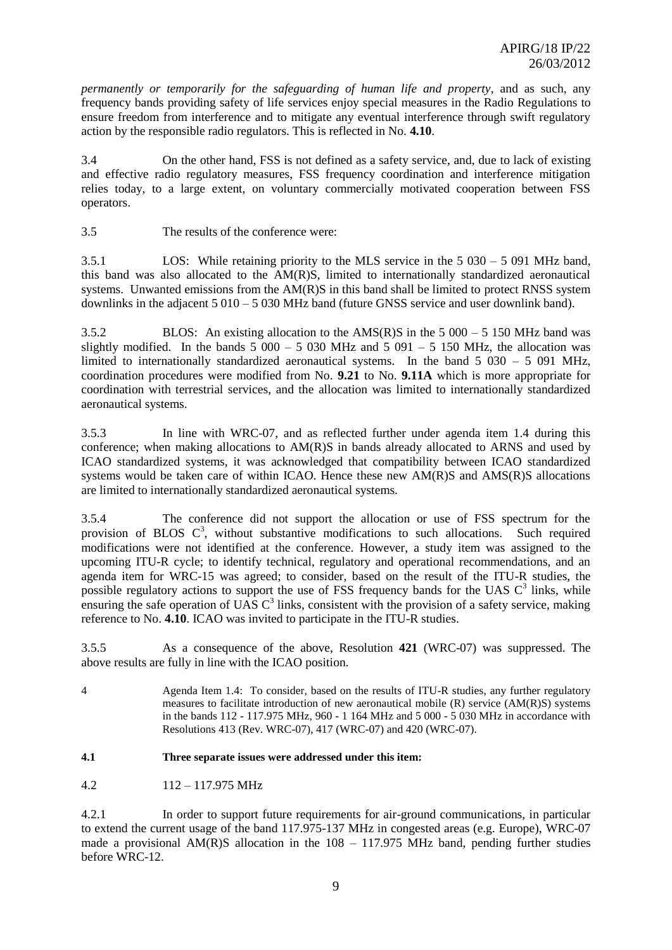*permanently or temporarily for the safeguarding of human life and property*, and as such, any frequency bands providing safety of life services enjoy special measures in the Radio Regulations to ensure freedom from interference and to mitigate any eventual interference through swift regulatory action by the responsible radio regulators. This is reflected in No. **4.10**.

3.4 On the other hand, FSS is not defined as a safety service, and, due to lack of existing and effective radio regulatory measures, FSS frequency coordination and interference mitigation relies today, to a large extent, on voluntary commercially motivated cooperation between FSS operators.

3.5 The results of the conference were:

3.5.1 LOS: While retaining priority to the MLS service in the 5 030 – 5 091 MHz band, this band was also allocated to the AM(R)S, limited to internationally standardized aeronautical systems. Unwanted emissions from the AM(R)S in this band shall be limited to protect RNSS system downlinks in the adjacent 5 010 – 5 030 MHz band (future GNSS service and user downlink band).

3.5.2 BLOS: An existing allocation to the AMS(R)S in the 5 000 – 5 150 MHz band was slightly modified. In the bands  $5\,000 - 5\,030$  MHz and  $5\,091 - 5\,150$  MHz, the allocation was limited to internationally standardized aeronautical systems. In the band 5 030 – 5 091 MHz, coordination procedures were modified from No. **9.21** to No. **9.11A** which is more appropriate for coordination with terrestrial services, and the allocation was limited to internationally standardized aeronautical systems.

3.5.3 In line with WRC-07, and as reflected further under agenda item 1.4 during this conference; when making allocations to AM(R)S in bands already allocated to ARNS and used by ICAO standardized systems, it was acknowledged that compatibility between ICAO standardized systems would be taken care of within ICAO. Hence these new AM(R)S and AMS(R)S allocations are limited to internationally standardized aeronautical systems.

3.5.4 The conference did not support the allocation or use of FSS spectrum for the provision of BLOS  $C^3$ , without substantive modifications to such allocations. Such required modifications were not identified at the conference. However, a study item was assigned to the upcoming ITU-R cycle; to identify technical, regulatory and operational recommendations, and an agenda item for WRC-15 was agreed; to consider, based on the result of the ITU-R studies, the possible regulatory actions to support the use of FSS frequency bands for the UAS  $C<sup>3</sup>$  links, while ensuring the safe operation of UAS  $C<sup>3</sup>$  links, consistent with the provision of a safety service, making reference to No. **4.10**. ICAO was invited to participate in the ITU-R studies.

3.5.5 As a consequence of the above, Resolution **421** (WRC-07) was suppressed. The above results are fully in line with the ICAO position.

4 Agenda Item 1.4: To consider, based on the results of ITU-R studies, any further regulatory measures to facilitate introduction of new aeronautical mobile  $(R)$  service  $(AM(R)S)$  systems in the bands 112 - 117.975 MHz, 960 - 1 164 MHz and 5 000 - 5 030 MHz in accordance with Resolutions 413 (Rev. WRC-07), 417 (WRC-07) and 420 (WRC-07).

#### **4.1 Three separate issues were addressed under this item:**

4.2 112 – 117.975 MHz

4.2.1 In order to support future requirements for air-ground communications, in particular to extend the current usage of the band 117.975-137 MHz in congested areas (e.g. Europe), WRC-07 made a provisional  $AM(R)S$  allocation in the  $108 - 117.975 MHz$  band, pending further studies before WRC-12.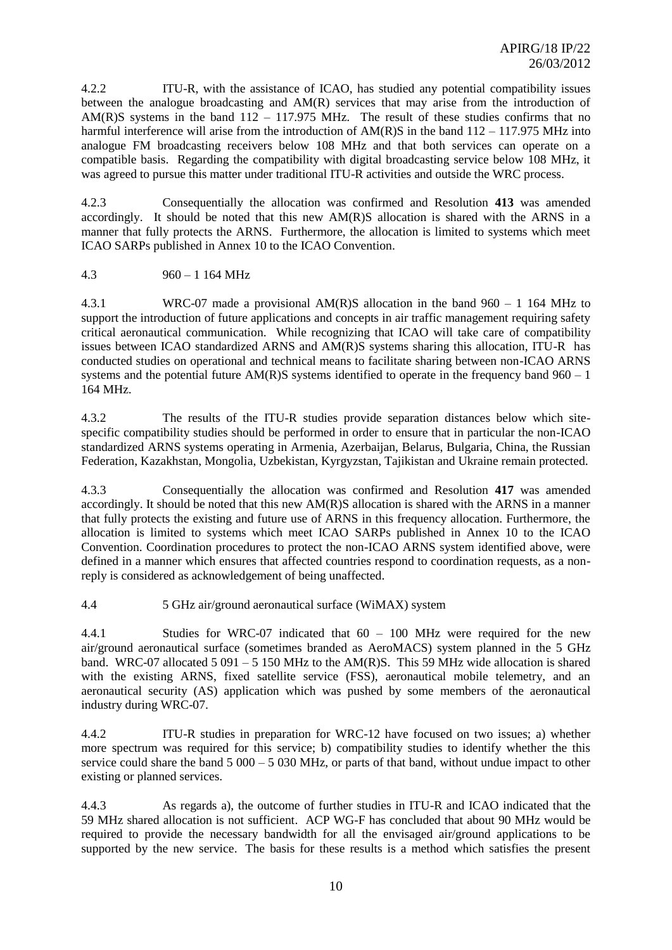4.2.2 ITU-R, with the assistance of ICAO, has studied any potential compatibility issues between the analogue broadcasting and AM(R) services that may arise from the introduction of AM(R)S systems in the band  $112 - 117.975$  MHz. The result of these studies confirms that no harmful interference will arise from the introduction of  $AM(R)S$  in the band  $112 - 117.975 MHz$  into analogue FM broadcasting receivers below 108 MHz and that both services can operate on a compatible basis. Regarding the compatibility with digital broadcasting service below 108 MHz, it was agreed to pursue this matter under traditional ITU-R activities and outside the WRC process.

4.2.3 Consequentially the allocation was confirmed and Resolution **413** was amended accordingly. It should be noted that this new AM(R)S allocation is shared with the ARNS in a manner that fully protects the ARNS. Furthermore, the allocation is limited to systems which meet ICAO SARPs published in Annex 10 to the ICAO Convention.

#### 4.3 960 – 1 164 MHz

4.3.1 WRC-07 made a provisional AM(R)S allocation in the band 960 – 1 164 MHz to support the introduction of future applications and concepts in air traffic management requiring safety critical aeronautical communication. While recognizing that ICAO will take care of compatibility issues between ICAO standardized ARNS and AM(R)S systems sharing this allocation, ITU-R has conducted studies on operational and technical means to facilitate sharing between non-ICAO ARNS systems and the potential future  $AM(R)S$  systems identified to operate in the frequency band  $960 - 1$ 164 MHz.

4.3.2 The results of the ITU-R studies provide separation distances below which sitespecific compatibility studies should be performed in order to ensure that in particular the non-ICAO standardized ARNS systems operating in Armenia, Azerbaijan, Belarus, Bulgaria, China, the Russian Federation, Kazakhstan, Mongolia, Uzbekistan, Kyrgyzstan, Tajikistan and Ukraine remain protected.

4.3.3 Consequentially the allocation was confirmed and Resolution **417** was amended accordingly. It should be noted that this new AM(R)S allocation is shared with the ARNS in a manner that fully protects the existing and future use of ARNS in this frequency allocation. Furthermore, the allocation is limited to systems which meet ICAO SARPs published in Annex 10 to the ICAO Convention. Coordination procedures to protect the non-ICAO ARNS system identified above, were defined in a manner which ensures that affected countries respond to coordination requests, as a nonreply is considered as acknowledgement of being unaffected.

4.4 5 GHz air/ground aeronautical surface (WiMAX) system

4.4.1 Studies for WRC-07 indicated that 60 – 100 MHz were required for the new air/ground aeronautical surface (sometimes branded as AeroMACS) system planned in the 5 GHz band. WRC-07 allocated 5 091 – 5 150 MHz to the AM(R)S. This 59 MHz wide allocation is shared with the existing ARNS, fixed satellite service (FSS), aeronautical mobile telemetry, and an aeronautical security (AS) application which was pushed by some members of the aeronautical industry during WRC-07.

4.4.2 ITU-R studies in preparation for WRC-12 have focused on two issues; a) whether more spectrum was required for this service; b) compatibility studies to identify whether the this service could share the band  $5000 - 5030$  MHz, or parts of that band, without undue impact to other existing or planned services.

4.4.3 As regards a), the outcome of further studies in ITU-R and ICAO indicated that the 59 MHz shared allocation is not sufficient. ACP WG-F has concluded that about 90 MHz would be required to provide the necessary bandwidth for all the envisaged air/ground applications to be supported by the new service. The basis for these results is a method which satisfies the present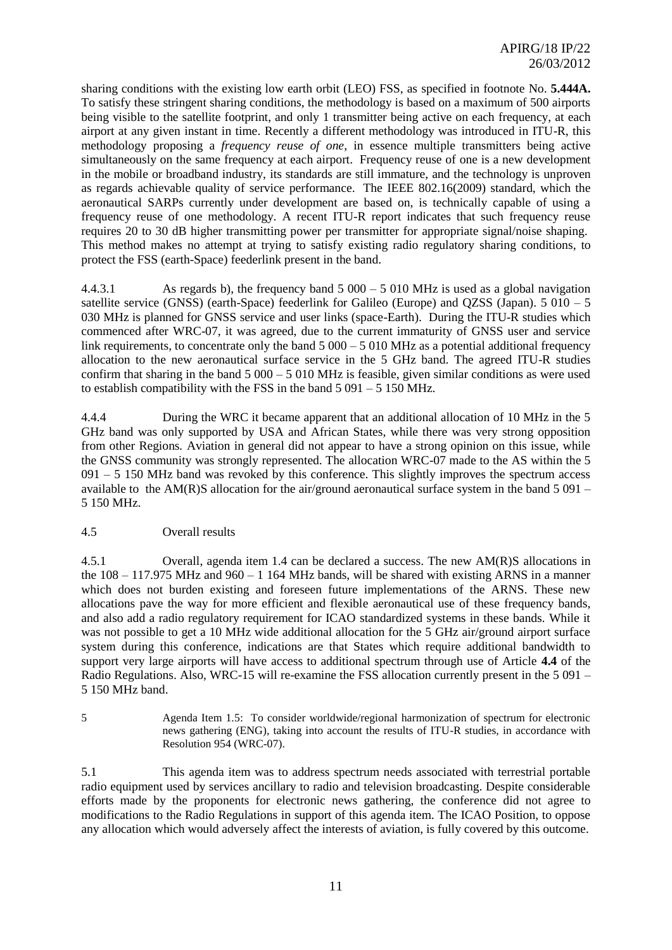sharing conditions with the existing low earth orbit (LEO) FSS, as specified in footnote No. **5.444A.**  To satisfy these stringent sharing conditions, the methodology is based on a maximum of 500 airports being visible to the satellite footprint, and only 1 transmitter being active on each frequency, at each airport at any given instant in time. Recently a different methodology was introduced in ITU-R, this methodology proposing a *frequency reuse of one*, in essence multiple transmitters being active simultaneously on the same frequency at each airport. Frequency reuse of one is a new development in the mobile or broadband industry, its standards are still immature, and the technology is unproven as regards achievable quality of service performance. The IEEE 802.16(2009) standard, which the aeronautical SARPs currently under development are based on, is technically capable of using a frequency reuse of one methodology. A recent ITU-R report indicates that such frequency reuse requires 20 to 30 dB higher transmitting power per transmitter for appropriate signal/noise shaping. This method makes no attempt at trying to satisfy existing radio regulatory sharing conditions, to protect the FSS (earth-Space) feederlink present in the band.

4.4.3.1 As regards b), the frequency band 5 000 – 5 010 MHz is used as a global navigation satellite service (GNSS) (earth-Space) feederlink for Galileo (Europe) and OZSS (Japan).  $5\ 010 - 5$ 030 MHz is planned for GNSS service and user links (space-Earth). During the ITU-R studies which commenced after WRC-07, it was agreed, due to the current immaturity of GNSS user and service link requirements, to concentrate only the band  $5000 - 5010$  MHz as a potential additional frequency allocation to the new aeronautical surface service in the 5 GHz band. The agreed ITU-R studies confirm that sharing in the band  $5000 - 5010$  MHz is feasible, given similar conditions as were used to establish compatibility with the FSS in the band  $5091 - 5150$  MHz.

4.4.4 During the WRC it became apparent that an additional allocation of 10 MHz in the 5 GHz band was only supported by USA and African States, while there was very strong opposition from other Regions*.* Aviation in general did not appear to have a strong opinion on this issue, while the GNSS community was strongly represented. The allocation WRC-07 made to the AS within the 5  $091 - 5$  150 MHz band was revoked by this conference. This slightly improves the spectrum access available to the AM(R)S allocation for the air/ground aeronautical surface system in the band  $5\,091$  – 5 150 MHz.

## 4.5 Overall results

4.5.1 Overall, agenda item 1.4 can be declared a success. The new AM(R)S allocations in the  $108 - 117.975$  MHz and  $960 - 1164$  MHz bands, will be shared with existing ARNS in a manner which does not burden existing and foreseen future implementations of the ARNS. These new allocations pave the way for more efficient and flexible aeronautical use of these frequency bands, and also add a radio regulatory requirement for ICAO standardized systems in these bands. While it was not possible to get a 10 MHz wide additional allocation for the 5 GHz air/ground airport surface system during this conference, indications are that States which require additional bandwidth to support very large airports will have access to additional spectrum through use of Article **4.4** of the Radio Regulations. Also, WRC-15 will re-examine the FSS allocation currently present in the 5 091 – 5 150 MHz band.

5 Agenda Item 1.5: To consider worldwide/regional harmonization of spectrum for electronic news gathering (ENG), taking into account the results of ITU-R studies, in accordance with Resolution 954 (WRC-07).

5.1 This agenda item was to address spectrum needs associated with terrestrial portable radio equipment used by services ancillary to radio and television broadcasting. Despite considerable efforts made by the proponents for electronic news gathering, the conference did not agree to modifications to the Radio Regulations in support of this agenda item. The ICAO Position, to oppose any allocation which would adversely affect the interests of aviation, is fully covered by this outcome.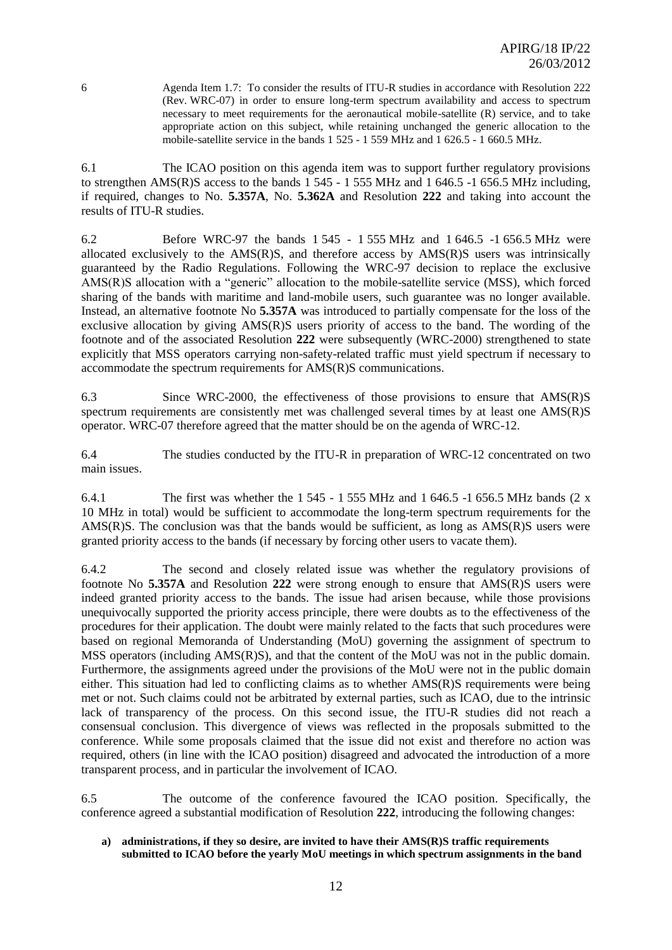6 Agenda Item 1.7: To consider the results of ITU-R studies in accordance with Resolution 222 (Rev. WRC-07) in order to ensure long-term spectrum availability and access to spectrum necessary to meet requirements for the aeronautical mobile-satellite (R) service, and to take appropriate action on this subject, while retaining unchanged the generic allocation to the mobile-satellite service in the bands 1 525 - 1 559 MHz and 1 626.5 - 1 660.5 MHz.

6.1 The ICAO position on this agenda item was to support further regulatory provisions to strengthen AMS(R)S access to the bands 1 545 - 1 555 MHz and 1 646.5 -1 656.5 MHz including, if required, changes to No. **5.357A**, No. **5.362A** and Resolution **222** and taking into account the results of ITU-R studies.

6.2 Before WRC-97 the bands 1 545 - 1 555 MHz and 1 646.5 -1 656.5 MHz were allocated exclusively to the  $AMS(R)S$ , and therefore access by  $AMS(R)S$  users was intrinsically guaranteed by the Radio Regulations. Following the WRC-97 decision to replace the exclusive AMS(R)S allocation with a "generic" allocation to the mobile-satellite service (MSS), which forced sharing of the bands with maritime and land-mobile users, such guarantee was no longer available. Instead, an alternative footnote No **5.357A** was introduced to partially compensate for the loss of the exclusive allocation by giving AMS(R)S users priority of access to the band. The wording of the footnote and of the associated Resolution **222** were subsequently (WRC-2000) strengthened to state explicitly that MSS operators carrying non-safety-related traffic must yield spectrum if necessary to accommodate the spectrum requirements for AMS(R)S communications.

6.3 Since WRC-2000, the effectiveness of those provisions to ensure that AMS(R)S spectrum requirements are consistently met was challenged several times by at least one AMS(R)S operator. WRC-07 therefore agreed that the matter should be on the agenda of WRC-12.

6.4 The studies conducted by the ITU-R in preparation of WRC-12 concentrated on two main issues.

6.4.1 The first was whether the 1 545 - 1 555 MHz and 1 646.5 -1 656.5 MHz bands (2 x 10 MHz in total) would be sufficient to accommodate the long-term spectrum requirements for the AMS $(R)$ S. The conclusion was that the bands would be sufficient, as long as AMS $(R)$ S users were granted priority access to the bands (if necessary by forcing other users to vacate them).

6.4.2 The second and closely related issue was whether the regulatory provisions of footnote No **5.357A** and Resolution **222** were strong enough to ensure that AMS(R)S users were indeed granted priority access to the bands. The issue had arisen because, while those provisions unequivocally supported the priority access principle, there were doubts as to the effectiveness of the procedures for their application. The doubt were mainly related to the facts that such procedures were based on regional Memoranda of Understanding (MoU) governing the assignment of spectrum to MSS operators (including AMS(R)S), and that the content of the MoU was not in the public domain. Furthermore, the assignments agreed under the provisions of the MoU were not in the public domain either. This situation had led to conflicting claims as to whether AMS(R)S requirements were being met or not. Such claims could not be arbitrated by external parties, such as ICAO, due to the intrinsic lack of transparency of the process. On this second issue, the ITU-R studies did not reach a consensual conclusion. This divergence of views was reflected in the proposals submitted to the conference. While some proposals claimed that the issue did not exist and therefore no action was required, others (in line with the ICAO position) disagreed and advocated the introduction of a more transparent process, and in particular the involvement of ICAO.

6.5 The outcome of the conference favoured the ICAO position. Specifically, the conference agreed a substantial modification of Resolution **222**, introducing the following changes:

**a) administrations, if they so desire, are invited to have their AMS(R)S traffic requirements submitted to ICAO before the yearly MoU meetings in which spectrum assignments in the band**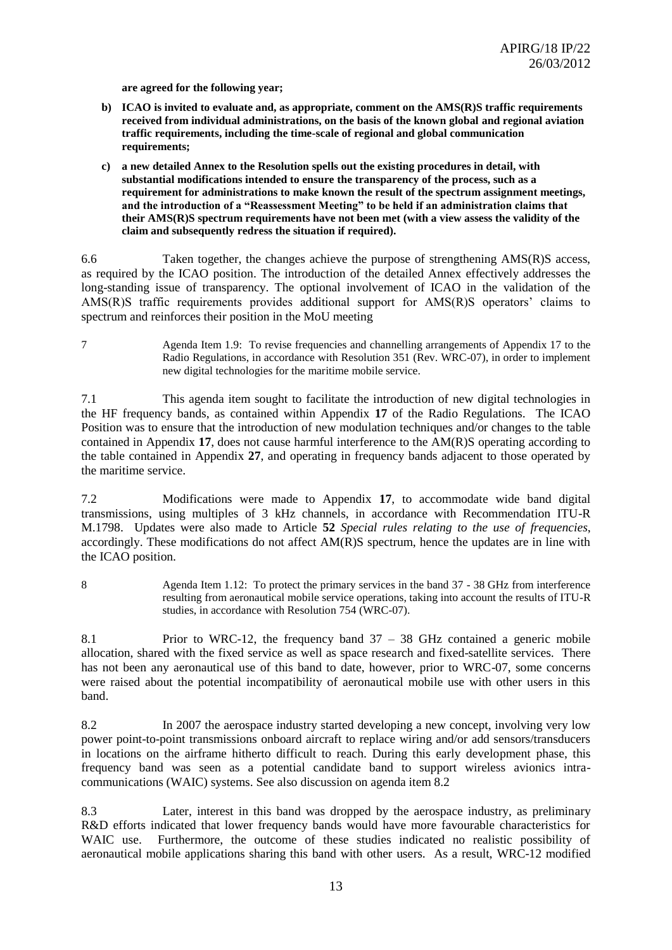**are agreed for the following year;**

- **b) ICAO is invited to evaluate and, as appropriate, comment on the AMS(R)S traffic requirements received from individual administrations, on the basis of the known global and regional aviation traffic requirements, including the time-scale of regional and global communication requirements;**
- **c) a new detailed Annex to the Resolution spells out the existing procedures in detail, with substantial modifications intended to ensure the transparency of the process, such as a requirement for administrations to make known the result of the spectrum assignment meetings, and the introduction of a "Reassessment Meeting" to be held if an administration claims that their AMS(R)S spectrum requirements have not been met (with a view assess the validity of the claim and subsequently redress the situation if required).**

6.6 Taken together, the changes achieve the purpose of strengthening AMS(R)S access, as required by the ICAO position. The introduction of the detailed Annex effectively addresses the long-standing issue of transparency. The optional involvement of ICAO in the validation of the AMS(R)S traffic requirements provides additional support for AMS(R)S operators' claims to spectrum and reinforces their position in the MoU meeting

7 Agenda Item 1.9: To revise frequencies and channelling arrangements of Appendix 17 to the Radio Regulations, in accordance with Resolution 351 (Rev. WRC-07), in order to implement new digital technologies for the maritime mobile service.

7.1 This agenda item sought to facilitate the introduction of new digital technologies in the HF frequency bands, as contained within Appendix **17** of the Radio Regulations. The ICAO Position was to ensure that the introduction of new modulation techniques and/or changes to the table contained in Appendix **17**, does not cause harmful interference to the AM(R)S operating according to the table contained in Appendix **27**, and operating in frequency bands adjacent to those operated by the maritime service.

7.2 Modifications were made to Appendix **17**, to accommodate wide band digital transmissions, using multiples of 3 kHz channels, in accordance with Recommendation ITU-R M.1798. Updates were also made to Article **52** *Special rules relating to the use of frequencies*, accordingly. These modifications do not affect AM(R)S spectrum, hence the updates are in line with the ICAO position.

8 Agenda Item 1.12: To protect the primary services in the band 37 - 38 GHz from interference resulting from aeronautical mobile service operations, taking into account the results of ITU-R studies, in accordance with Resolution 754 (WRC-07).

8.1 Prior to WRC-12, the frequency band 37 – 38 GHz contained a generic mobile allocation, shared with the fixed service as well as space research and fixed-satellite services. There has not been any aeronautical use of this band to date, however, prior to WRC-07, some concerns were raised about the potential incompatibility of aeronautical mobile use with other users in this band.

8.2 In 2007 the aerospace industry started developing a new concept, involving very low power point-to-point transmissions onboard aircraft to replace wiring and/or add sensors/transducers in locations on the airframe hitherto difficult to reach. During this early development phase, this frequency band was seen as a potential candidate band to support wireless avionics intracommunications (WAIC) systems. See also discussion on agenda item 8.2

8.3 Later, interest in this band was dropped by the aerospace industry, as preliminary R&D efforts indicated that lower frequency bands would have more favourable characteristics for WAIC use. Furthermore, the outcome of these studies indicated no realistic possibility of aeronautical mobile applications sharing this band with other users. As a result, WRC-12 modified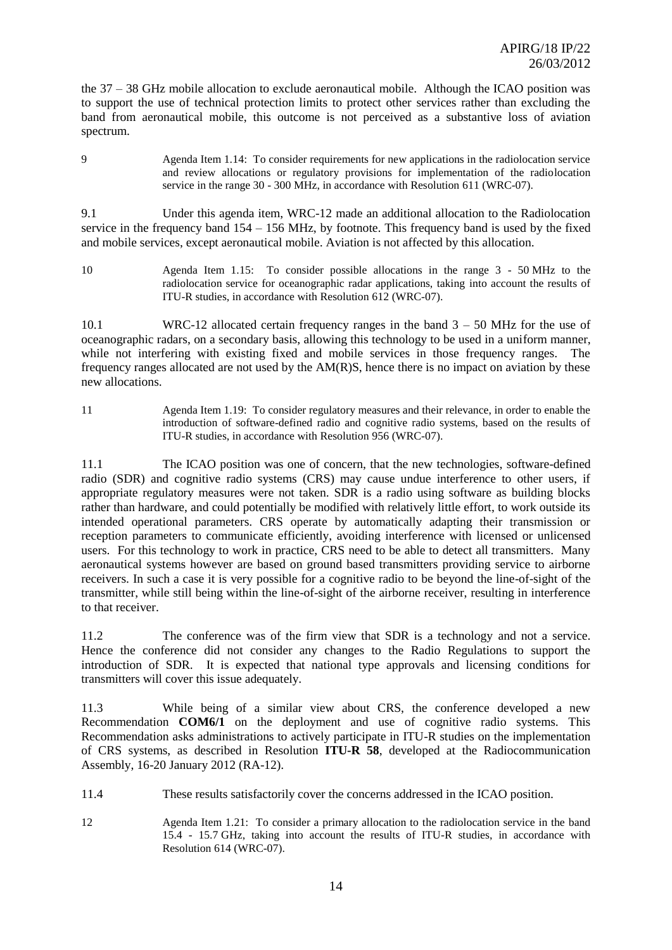the 37 – 38 GHz mobile allocation to exclude aeronautical mobile. Although the ICAO position was to support the use of technical protection limits to protect other services rather than excluding the band from aeronautical mobile, this outcome is not perceived as a substantive loss of aviation spectrum.

9 Agenda Item 1.14: To consider requirements for new applications in the radiolocation service and review allocations or regulatory provisions for implementation of the radiolocation service in the range 30 - 300 MHz, in accordance with Resolution 611 (WRC-07).

9.1 Under this agenda item, WRC-12 made an additional allocation to the Radiolocation service in the frequency band  $154 - 156$  MHz, by footnote. This frequency band is used by the fixed and mobile services, except aeronautical mobile. Aviation is not affected by this allocation.

10 Agenda Item 1.15: To consider possible allocations in the range 3 - 50 MHz to the radiolocation service for oceanographic radar applications, taking into account the results of ITU-R studies, in accordance with Resolution 612 (WRC-07).

10.1 WRC-12 allocated certain frequency ranges in the band 3 – 50 MHz for the use of oceanographic radars, on a secondary basis, allowing this technology to be used in a uniform manner, while not interfering with existing fixed and mobile services in those frequency ranges. The frequency ranges allocated are not used by the AM(R)S, hence there is no impact on aviation by these new allocations.

11 Agenda Item 1.19: To consider regulatory measures and their relevance, in order to enable the introduction of software-defined radio and cognitive radio systems, based on the results of ITU-R studies, in accordance with Resolution 956 (WRC-07).

11.1 The ICAO position was one of concern, that the new technologies, software-defined radio (SDR) and cognitive radio systems (CRS) may cause undue interference to other users, if appropriate regulatory measures were not taken. SDR is a radio using software as building blocks rather than hardware, and could potentially be modified with relatively little effort, to work outside its intended operational parameters. CRS operate by automatically adapting their transmission or reception parameters to communicate efficiently, avoiding interference with licensed or unlicensed users. For this technology to work in practice, CRS need to be able to detect all transmitters. Many aeronautical systems however are based on ground based transmitters providing service to airborne receivers. In such a case it is very possible for a cognitive radio to be beyond the line-of-sight of the transmitter, while still being within the line-of-sight of the airborne receiver, resulting in interference to that receiver.

11.2 The conference was of the firm view that SDR is a technology and not a service. Hence the conference did not consider any changes to the Radio Regulations to support the introduction of SDR. It is expected that national type approvals and licensing conditions for transmitters will cover this issue adequately.

11.3 While being of a similar view about CRS, the conference developed a new Recommendation **COM6/1** on the deployment and use of cognitive radio systems. This Recommendation asks administrations to actively participate in ITU-R studies on the implementation of CRS systems, as described in Resolution **ITU-R 58**, developed at the Radiocommunication Assembly, 16-20 January 2012 (RA-12).

- 11.4 These results satisfactorily cover the concerns addressed in the ICAO position.
- 12 Agenda Item 1.21: To consider a primary allocation to the radiolocation service in the band 15.4 - 15.7 GHz, taking into account the results of ITU-R studies, in accordance with Resolution 614 (WRC-07).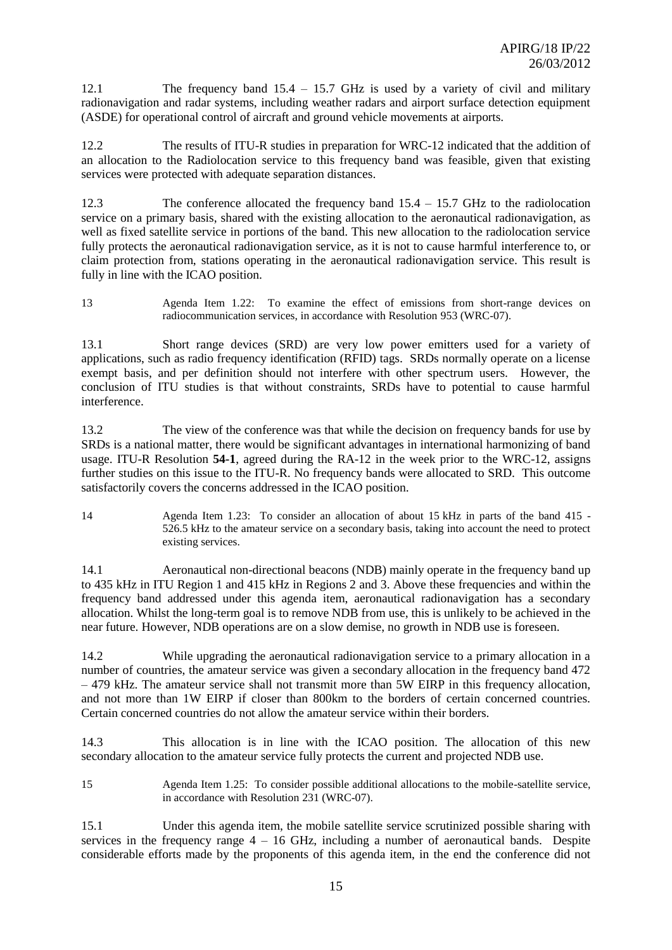12.1 The frequency band 15.4 – 15.7 GHz is used by a variety of civil and military radionavigation and radar systems, including weather radars and airport surface detection equipment (ASDE) for operational control of aircraft and ground vehicle movements at airports.

12.2 The results of ITU-R studies in preparation for WRC-12 indicated that the addition of an allocation to the Radiolocation service to this frequency band was feasible, given that existing services were protected with adequate separation distances.

12.3 The conference allocated the frequency band 15.4 – 15.7 GHz to the radiolocation service on a primary basis, shared with the existing allocation to the aeronautical radionavigation, as well as fixed satellite service in portions of the band. This new allocation to the radiolocation service fully protects the aeronautical radionavigation service, as it is not to cause harmful interference to, or claim protection from, stations operating in the aeronautical radionavigation service. This result is fully in line with the ICAO position.

13 Agenda Item 1.22: To examine the effect of emissions from short-range devices on radiocommunication services, in accordance with Resolution 953 (WRC-07).

13.1 Short range devices (SRD) are very low power emitters used for a variety of applications, such as radio frequency identification (RFID) tags. SRDs normally operate on a license exempt basis, and per definition should not interfere with other spectrum users. However, the conclusion of ITU studies is that without constraints, SRDs have to potential to cause harmful interference.

13.2 The view of the conference was that while the decision on frequency bands for use by SRDs is a national matter, there would be significant advantages in international harmonizing of band usage. ITU-R Resolution **54-1**, agreed during the RA-12 in the week prior to the WRC-12, assigns further studies on this issue to the ITU-R. No frequency bands were allocated to SRD. This outcome satisfactorily covers the concerns addressed in the ICAO position.

14 Agenda Item 1.23: To consider an allocation of about 15 kHz in parts of the band 415 - 526.5 kHz to the amateur service on a secondary basis, taking into account the need to protect existing services.

14.1 Aeronautical non-directional beacons (NDB) mainly operate in the frequency band up to 435 kHz in ITU Region 1 and 415 kHz in Regions 2 and 3. Above these frequencies and within the frequency band addressed under this agenda item, aeronautical radionavigation has a secondary allocation. Whilst the long-term goal is to remove NDB from use, this is unlikely to be achieved in the near future. However, NDB operations are on a slow demise, no growth in NDB use is foreseen.

14.2 While upgrading the aeronautical radionavigation service to a primary allocation in a number of countries, the amateur service was given a secondary allocation in the frequency band 472 – 479 kHz. The amateur service shall not transmit more than 5W EIRP in this frequency allocation, and not more than 1W EIRP if closer than 800km to the borders of certain concerned countries. Certain concerned countries do not allow the amateur service within their borders.

14.3 This allocation is in line with the ICAO position. The allocation of this new secondary allocation to the amateur service fully protects the current and projected NDB use.

15 Agenda Item 1.25: To consider possible additional allocations to the mobile-satellite service, in accordance with Resolution 231 (WRC-07).

15.1 Under this agenda item, the mobile satellite service scrutinized possible sharing with services in the frequency range  $4 - 16$  GHz, including a number of aeronautical bands. Despite considerable efforts made by the proponents of this agenda item, in the end the conference did not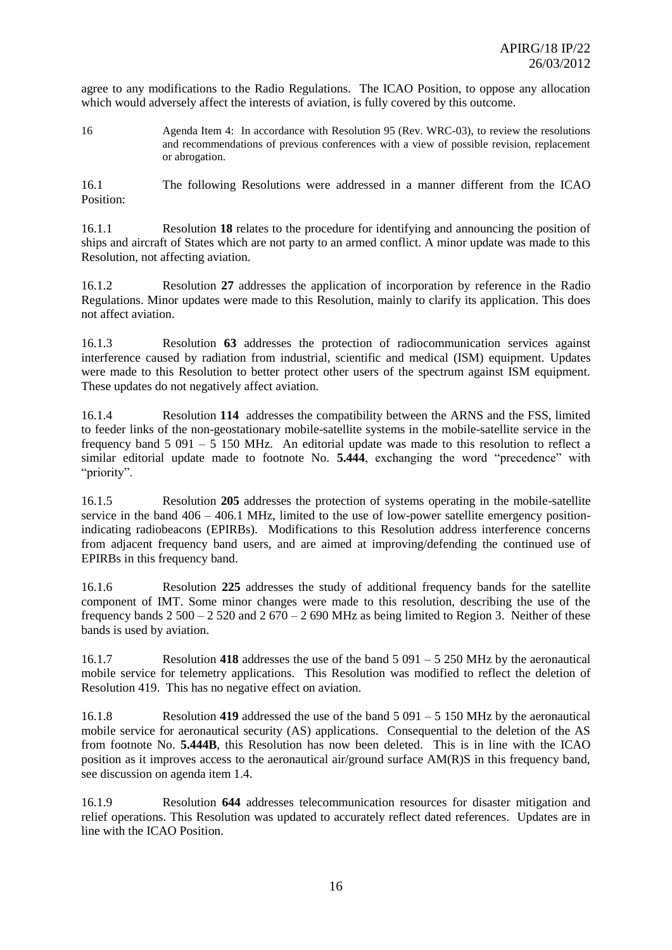agree to any modifications to the Radio Regulations. The ICAO Position, to oppose any allocation which would adversely affect the interests of aviation, is fully covered by this outcome.

16 Agenda Item 4: In accordance with Resolution 95 (Rev. WRC-03), to review the resolutions and recommendations of previous conferences with a view of possible revision, replacement or abrogation.

16.1 The following Resolutions were addressed in a manner different from the ICAO Position:

16.1.1 Resolution **18** relates to the procedure for identifying and announcing the position of ships and aircraft of States which are not party to an armed conflict. A minor update was made to this Resolution, not affecting aviation.

16.1.2 Resolution **27** addresses the application of incorporation by reference in the Radio Regulations. Minor updates were made to this Resolution, mainly to clarify its application. This does not affect aviation.

16.1.3 Resolution **63** addresses the protection of radiocommunication services against interference caused by radiation from industrial, scientific and medical (ISM) equipment. Updates were made to this Resolution to better protect other users of the spectrum against ISM equipment. These updates do not negatively affect aviation.

16.1.4 Resolution **114** addresses the compatibility between the ARNS and the FSS, limited to feeder links of the non-geostationary mobile-satellite systems in the mobile-satellite service in the frequency band  $5\,091 - 5\,150$  MHz. An editorial update was made to this resolution to reflect a similar editorial update made to footnote No. **5.444**, exchanging the word "precedence" with "priority".

16.1.5 Resolution **205** addresses the protection of systems operating in the mobile-satellite service in the band  $406 - 406.1$  MHz, limited to the use of low-power satellite emergency positionindicating radiobeacons (EPIRBs). Modifications to this Resolution address interference concerns from adjacent frequency band users, and are aimed at improving/defending the continued use of EPIRBs in this frequency band.

16.1.6 Resolution **225** addresses the study of additional frequency bands for the satellite component of IMT. Some minor changes were made to this resolution, describing the use of the frequency bands  $2\,500 - 2\,520$  and  $2\,670 - 2\,690$  MHz as being limited to Region 3. Neither of these bands is used by aviation.

16.1.7 Resolution **418** addresses the use of the band 5 091 – 5 250 MHz by the aeronautical mobile service for telemetry applications. This Resolution was modified to reflect the deletion of Resolution 419. This has no negative effect on aviation.

16.1.8 Resolution **419** addressed the use of the band 5 091 – 5 150 MHz by the aeronautical mobile service for aeronautical security (AS) applications. Consequential to the deletion of the AS from footnote No. **5.444B**, this Resolution has now been deleted. This is in line with the ICAO position as it improves access to the aeronautical air/ground surface AM(R)S in this frequency band, see discussion on agenda item 1.4.

16.1.9 Resolution **644** addresses telecommunication resources for disaster mitigation and relief operations. This Resolution was updated to accurately reflect dated references. Updates are in line with the ICAO Position.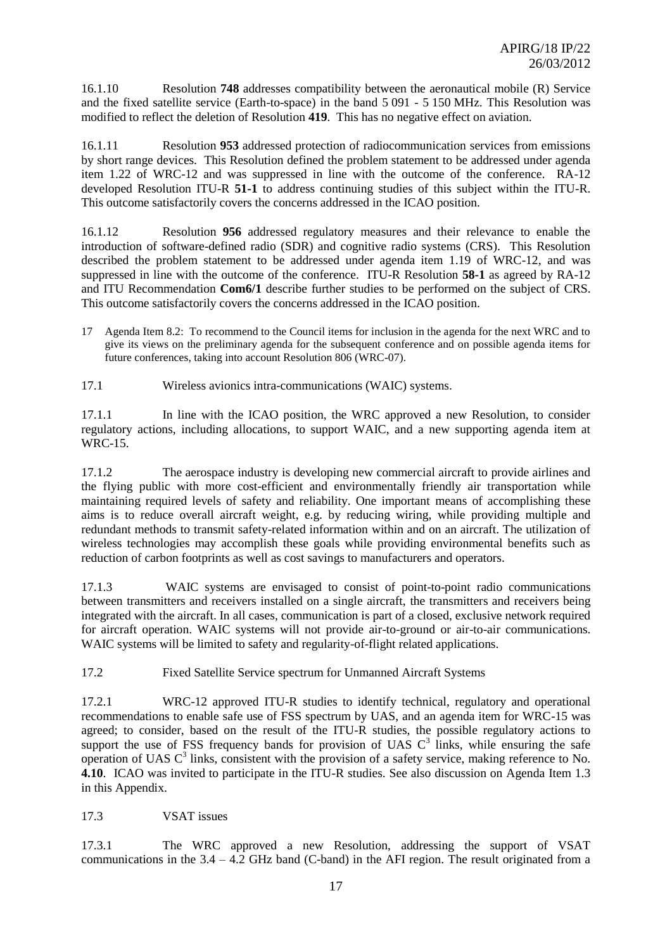16.1.10 Resolution **748** addresses compatibility between the aeronautical mobile (R) Service and the fixed satellite service (Earth-to-space) in the band 5 091 - 5 150 MHz. This Resolution was modified to reflect the deletion of Resolution **419**. This has no negative effect on aviation.

16.1.11 Resolution **953** addressed protection of radiocommunication services from emissions by short range devices. This Resolution defined the problem statement to be addressed under agenda item 1.22 of WRC-12 and was suppressed in line with the outcome of the conference. RA-12 developed Resolution ITU-R **51-1** to address continuing studies of this subject within the ITU-R. This outcome satisfactorily covers the concerns addressed in the ICAO position.

16.1.12 Resolution **956** addressed regulatory measures and their relevance to enable the introduction of software-defined radio (SDR) and cognitive radio systems (CRS). This Resolution described the problem statement to be addressed under agenda item 1.19 of WRC-12, and was suppressed in line with the outcome of the conference. ITU-R Resolution **58-1** as agreed by RA-12 and ITU Recommendation **Com6/1** describe further studies to be performed on the subject of CRS. This outcome satisfactorily covers the concerns addressed in the ICAO position.

- 17 Agenda Item 8.2: To recommend to the Council items for inclusion in the agenda for the next WRC and to give its views on the preliminary agenda for the subsequent conference and on possible agenda items for future conferences, taking into account Resolution 806 (WRC-07).
- 17.1 Wireless avionics intra-communications (WAIC) systems.

17.1.1 In line with the ICAO position, the WRC approved a new Resolution, to consider regulatory actions, including allocations, to support WAIC, and a new supporting agenda item at WRC-15.

17.1.2 The aerospace industry is developing new commercial aircraft to provide airlines and the flying public with more cost-efficient and environmentally friendly air transportation while maintaining required levels of safety and reliability. One important means of accomplishing these aims is to reduce overall aircraft weight, e.g. by reducing wiring, while providing multiple and redundant methods to transmit safety-related information within and on an aircraft. The utilization of wireless technologies may accomplish these goals while providing environmental benefits such as reduction of carbon footprints as well as cost savings to manufacturers and operators.

17.1.3 WAIC systems are envisaged to consist of point-to-point radio communications between transmitters and receivers installed on a single aircraft, the transmitters and receivers being integrated with the aircraft. In all cases, communication is part of a closed, exclusive network required for aircraft operation. WAIC systems will not provide air-to-ground or air-to-air communications. WAIC systems will be limited to safety and regularity-of-flight related applications.

17.2 Fixed Satellite Service spectrum for Unmanned Aircraft Systems

17.2.1 WRC-12 approved ITU-R studies to identify technical, regulatory and operational recommendations to enable safe use of FSS spectrum by UAS, and an agenda item for WRC-15 was agreed; to consider, based on the result of the ITU-R studies, the possible regulatory actions to support the use of FSS frequency bands for provision of UAS  $C<sup>3</sup>$  links, while ensuring the safe operation of UAS  $C<sup>3</sup>$  links, consistent with the provision of a safety service, making reference to No. **4.10**. ICAO was invited to participate in the ITU-R studies. See also discussion on Agenda Item 1.3 in this Appendix.

## 17.3 VSAT issues

17.3.1 The WRC approved a new Resolution, addressing the support of VSAT communications in the 3.4 – 4.2 GHz band (C-band) in the AFI region. The result originated from a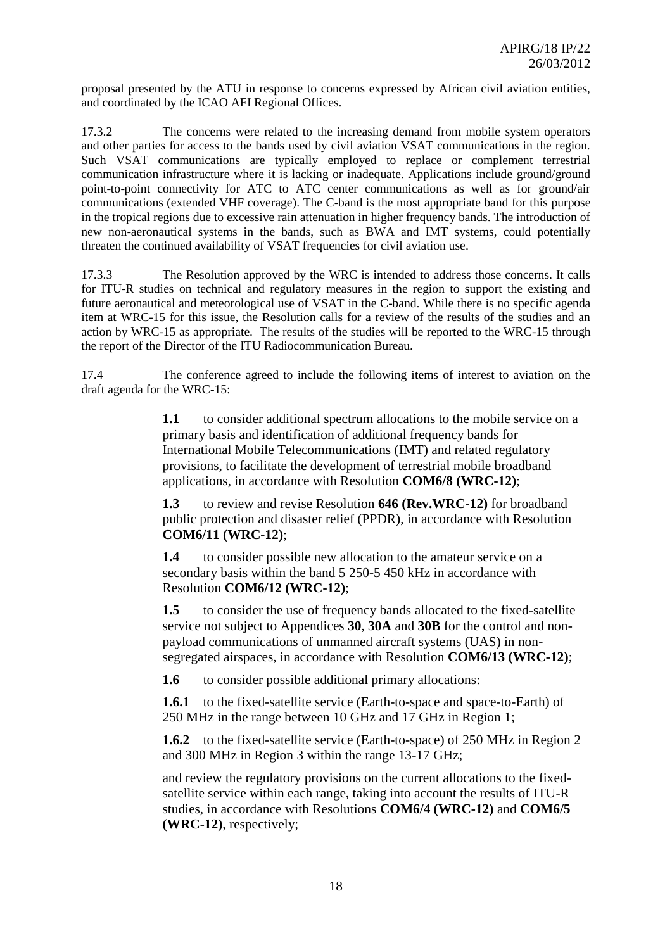proposal presented by the ATU in response to concerns expressed by African civil aviation entities, and coordinated by the ICAO AFI Regional Offices.

17.3.2 The concerns were related to the increasing demand from mobile system operators and other parties for access to the bands used by civil aviation VSAT communications in the region. Such VSAT communications are typically employed to replace or complement terrestrial communication infrastructure where it is lacking or inadequate. Applications include ground/ground point-to-point connectivity for ATC to ATC center communications as well as for ground/air communications (extended VHF coverage). The C-band is the most appropriate band for this purpose in the tropical regions due to excessive rain attenuation in higher frequency bands. The introduction of new non-aeronautical systems in the bands, such as BWA and IMT systems, could potentially threaten the continued availability of VSAT frequencies for civil aviation use.

17.3.3 The Resolution approved by the WRC is intended to address those concerns. It calls for ITU-R studies on technical and regulatory measures in the region to support the existing and future aeronautical and meteorological use of VSAT in the C-band. While there is no specific agenda item at WRC-15 for this issue, the Resolution calls for a review of the results of the studies and an action by WRC-15 as appropriate. The results of the studies will be reported to the WRC-15 through the report of the Director of the ITU Radiocommunication Bureau.

17.4 The conference agreed to include the following items of interest to aviation on the draft agenda for the WRC-15:

> **1.1** to consider additional spectrum allocations to the mobile service on a primary basis and identification of additional frequency bands for International Mobile Telecommunications (IMT) and related regulatory provisions, to facilitate the development of terrestrial mobile broadband applications, in accordance with Resolution **COM6/8 (WRC-12)**;

**1.3** to review and revise Resolution **646 (Rev.WRC-12)** for broadband public protection and disaster relief (PPDR), in accordance with Resolution **COM6/11 (WRC-12)**;

**1.4** to consider possible new allocation to the amateur service on a secondary basis within the band 5 250-5 450 kHz in accordance with Resolution **COM6/12 (WRC-12)**;

**1.5** to consider the use of frequency bands allocated to the fixed-satellite service not subject to Appendices **30**, **30A** and **30B** for the control and nonpayload communications of unmanned aircraft systems (UAS) in nonsegregated airspaces, in accordance with Resolution **COM6/13 (WRC-12)**;

**1.6** to consider possible additional primary allocations:

**1.6.1** to the fixed-satellite service (Earth-to-space and space-to-Earth) of 250 MHz in the range between 10 GHz and 17 GHz in Region 1;

**1.6.2** to the fixed-satellite service (Earth-to-space) of 250 MHz in Region 2 and 300 MHz in Region 3 within the range 13-17 GHz;

and review the regulatory provisions on the current allocations to the fixedsatellite service within each range, taking into account the results of ITU-R studies, in accordance with Resolutions **COM6/4 (WRC-12)** and **COM6/5 (WRC-12)**, respectively;